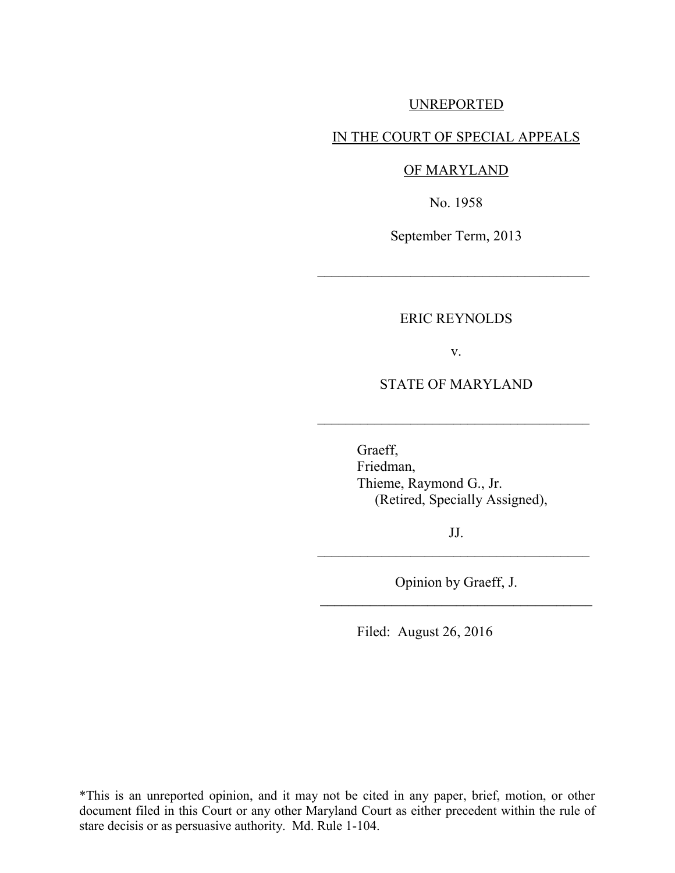## UNREPORTED

## IN THE COURT OF SPECIAL APPEALS

#### OF MARYLAND

No. 1958

September Term, 2013

 $\mathcal{L}_\text{max}$  , where  $\mathcal{L}_\text{max}$  , we are the set of  $\mathcal{L}_\text{max}$ 

### ERIC REYNOLDS

v.

STATE OF MARYLAND

 $\mathcal{L}_\text{max}$  , where  $\mathcal{L}_\text{max}$  , we are the set of  $\mathcal{L}_\text{max}$ 

Graeff, Friedman, Thieme, Raymond G., Jr. (Retired, Specially Assigned),

JJ.  $\mathcal{L}_\text{max}$  , where  $\mathcal{L}_\text{max}$  , we are the set of  $\mathcal{L}_\text{max}$ 

Opinion by Graeff, J. \_\_\_\_\_\_\_\_\_\_\_\_\_\_\_\_\_\_\_\_\_\_\_\_\_\_\_\_\_\_\_\_\_\_\_\_\_\_

Filed: August 26, 2016

\*This is an unreported opinion, and it may not be cited in any paper, brief, motion, or other document filed in this Court or any other Maryland Court as either precedent within the rule of stare decisis or as persuasive authority. Md. Rule 1-104.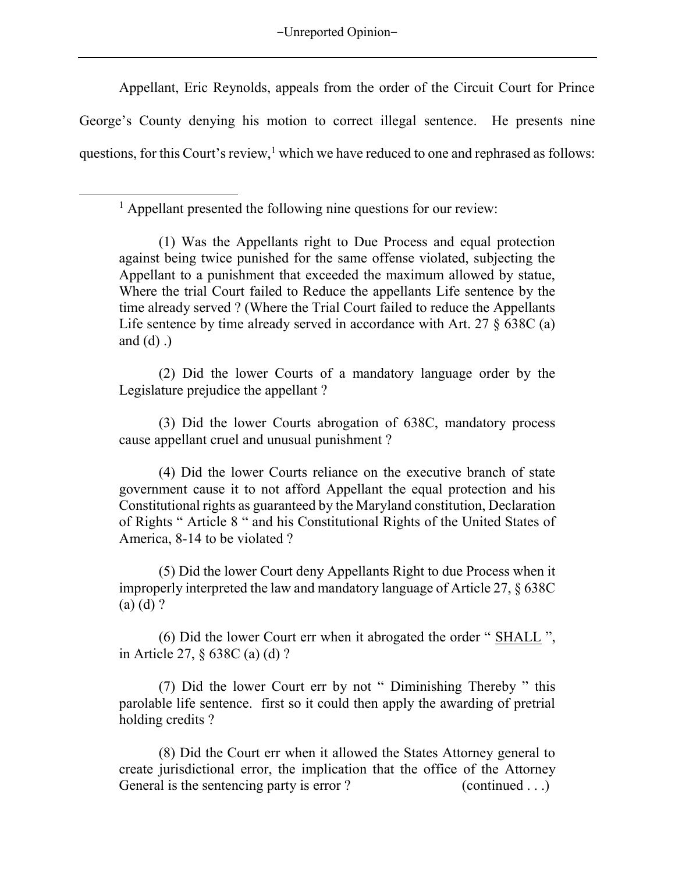-Unreported Opinion-

Appellant, Eric Reynolds, appeals from the order of the Circuit Court for Prince George's County denying his motion to correct illegal sentence. He presents nine questions, for this Court's review,  $1$  which we have reduced to one and rephrased as follows:

<sup>1</sup> Appellant presented the following nine questions for our review:

 $\overline{a}$ 

(2) Did the lower Courts of a mandatory language order by the Legislature prejudice the appellant ?

(3) Did the lower Courts abrogation of 638C, mandatory process cause appellant cruel and unusual punishment ?

(4) Did the lower Courts reliance on the executive branch of state government cause it to not afford Appellant the equal protection and his Constitutional rights as guaranteed by the Maryland constitution, Declaration of Rights " Article 8 " and his Constitutional Rights of the United States of America, 8-14 to be violated ?

(5) Did the lower Court deny Appellants Right to due Process when it improperly interpreted the law and mandatory language of Article 27, § 638C (a) (d) ?

(6) Did the lower Court err when it abrogated the order " SHALL ", in Article 27, § 638C (a) (d) ?

(7) Did the lower Court err by not " Diminishing Thereby " this parolable life sentence. first so it could then apply the awarding of pretrial holding credits ?

(8) Did the Court err when it allowed the States Attorney general to create jurisdictional error, the implication that the office of the Attorney General is the sentencing party is error ? (continued . . .)

<sup>(1)</sup> Was the Appellants right to Due Process and equal protection against being twice punished for the same offense violated, subjecting the Appellant to a punishment that exceeded the maximum allowed by statue, Where the trial Court failed to Reduce the appellants Life sentence by the time already served ? (Where the Trial Court failed to reduce the Appellants Life sentence by time already served in accordance with Art. 27 § 638C (a) and  $(d)$ .)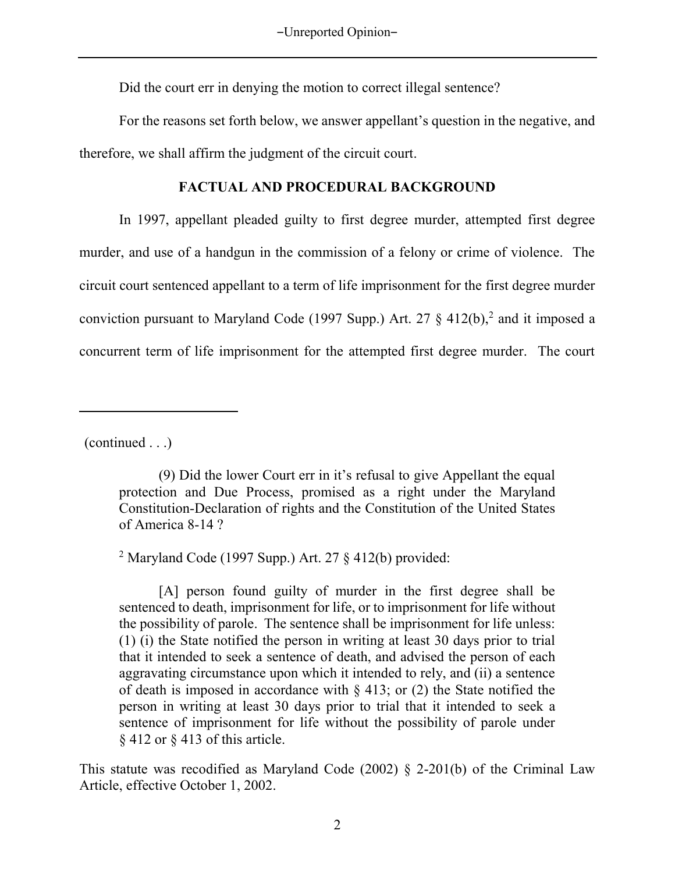Did the court err in denying the motion to correct illegal sentence?

 For the reasons set forth below, we answer appellant's question in the negative, and therefore, we shall affirm the judgment of the circuit court.

# **FACTUAL AND PROCEDURAL BACKGROUND**

 In 1997, appellant pleaded guilty to first degree murder, attempted first degree murder, and use of a handgun in the commission of a felony or crime of violence. The circuit court sentenced appellant to a term of life imprisonment for the first degree murder conviction pursuant to Maryland Code (1997 Supp.) Art. 27  $\S$  412(b),<sup>2</sup> and it imposed a concurrent term of life imprisonment for the attempted first degree murder. The court

(continued . . .)

 $\overline{a}$ 

<sup>2</sup> Maryland Code (1997 Supp.) Art. 27  $\S$  412(b) provided:

This statute was recodified as Maryland Code (2002) § 2-201(b) of the Criminal Law Article, effective October 1, 2002.

<sup>(9)</sup> Did the lower Court err in it's refusal to give Appellant the equal protection and Due Process, promised as a right under the Maryland Constitution-Declaration of rights and the Constitution of the United States of America 8-14 ?

<sup>[</sup>A] person found guilty of murder in the first degree shall be sentenced to death, imprisonment for life, or to imprisonment for life without the possibility of parole. The sentence shall be imprisonment for life unless: (1) (i) the State notified the person in writing at least 30 days prior to trial that it intended to seek a sentence of death, and advised the person of each aggravating circumstance upon which it intended to rely, and (ii) a sentence of death is imposed in accordance with § 413; or (2) the State notified the person in writing at least 30 days prior to trial that it intended to seek a sentence of imprisonment for life without the possibility of parole under § 412 or § 413 of this article.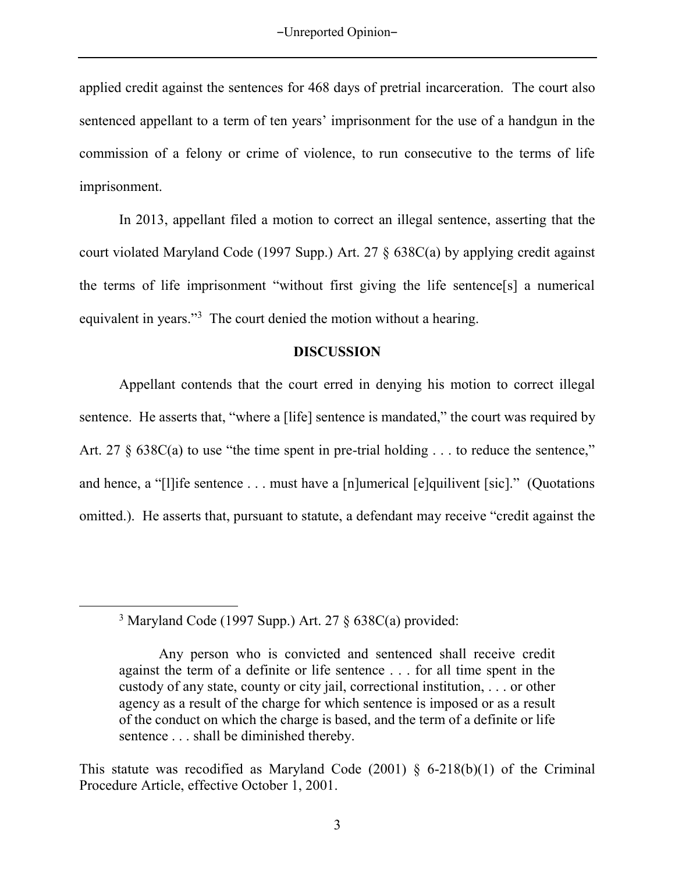applied credit against the sentences for 468 days of pretrial incarceration. The court also sentenced appellant to a term of ten years' imprisonment for the use of a handgun in the commission of a felony or crime of violence, to run consecutive to the terms of life imprisonment.

In 2013, appellant filed a motion to correct an illegal sentence, asserting that the court violated Maryland Code (1997 Supp.) Art. 27 § 638C(a) by applying credit against the terms of life imprisonment "without first giving the life sentence[s] a numerical equivalent in years."<sup>3</sup> The court denied the motion without a hearing.

## **DISCUSSION**

Appellant contends that the court erred in denying his motion to correct illegal sentence. He asserts that, "where a [life] sentence is mandated," the court was required by Art. 27 § 638C(a) to use "the time spent in pre-trial holding . . . to reduce the sentence," and hence, a "[l]ife sentence . . . must have a [n]umerical [e]quilivent [sic]." (Quotations omitted.). He asserts that, pursuant to statute, a defendant may receive "credit against the

 $\overline{a}$ 

<sup>3</sup> Maryland Code (1997 Supp.) Art. 27 § 638C(a) provided:

Any person who is convicted and sentenced shall receive credit against the term of a definite or life sentence . . . for all time spent in the custody of any state, county or city jail, correctional institution, . . . or other agency as a result of the charge for which sentence is imposed or as a result of the conduct on which the charge is based, and the term of a definite or life sentence . . . shall be diminished thereby.

This statute was recodified as Maryland Code  $(2001)$  § 6-218(b)(1) of the Criminal Procedure Article, effective October 1, 2001.